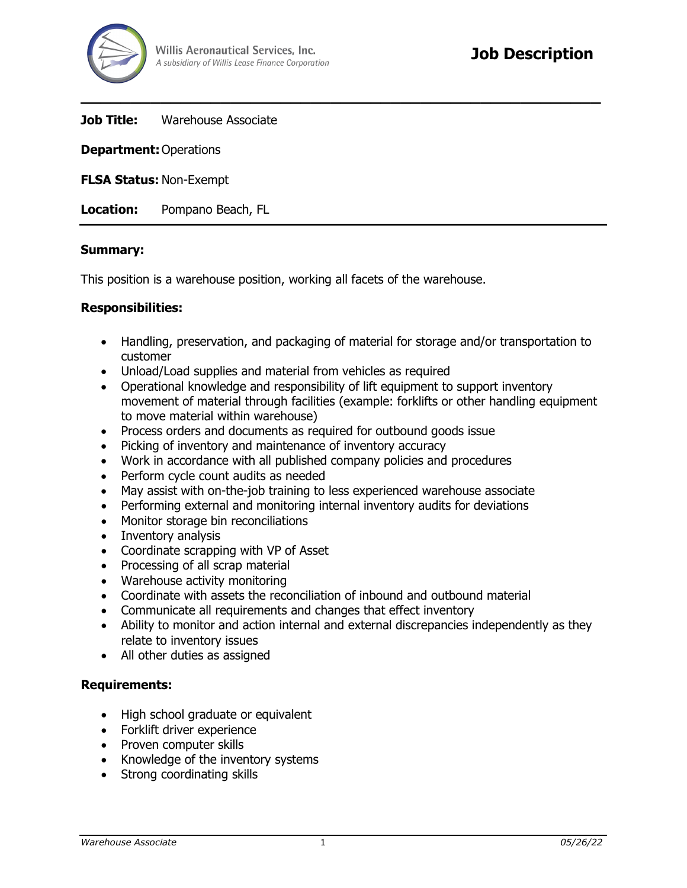

**Job Title:** Warehouse Associate

**Department:**Operations

**FLSA Status:** Non-Exempt

**Location:** Pompano Beach, FL

### **Summary:**

This position is a warehouse position, working all facets of the warehouse.

### **Responsibilities:**

• Handling, preservation, and packaging of material for storage and/or transportation to customer

**\_\_\_\_\_\_\_\_\_\_\_\_\_\_\_\_\_\_\_\_\_\_\_\_\_\_\_\_\_\_\_\_\_\_\_\_\_\_\_\_\_\_\_\_\_\_\_\_\_\_\_\_**

- Unload/Load supplies and material from vehicles as required
- Operational knowledge and responsibility of lift equipment to support inventory movement of material through facilities (example: forklifts or other handling equipment to move material within warehouse)
- Process orders and documents as required for outbound goods issue
- Picking of inventory and maintenance of inventory accuracy
- Work in accordance with all published company policies and procedures
- Perform cycle count audits as needed
- May assist with on-the-job training to less experienced warehouse associate
- Performing external and monitoring internal inventory audits for deviations
- Monitor storage bin reconciliations
- Inventory analysis
- Coordinate scrapping with VP of Asset
- Processing of all scrap material
- Warehouse activity monitoring
- Coordinate with assets the reconciliation of inbound and outbound material
- Communicate all requirements and changes that effect inventory
- Ability to monitor and action internal and external discrepancies independently as they relate to inventory issues
- All other duties as assigned

## **Requirements:**

- High school graduate or equivalent
- Forklift driver experience
- Proven computer skills
- Knowledge of the inventory systems
- Strong coordinating skills